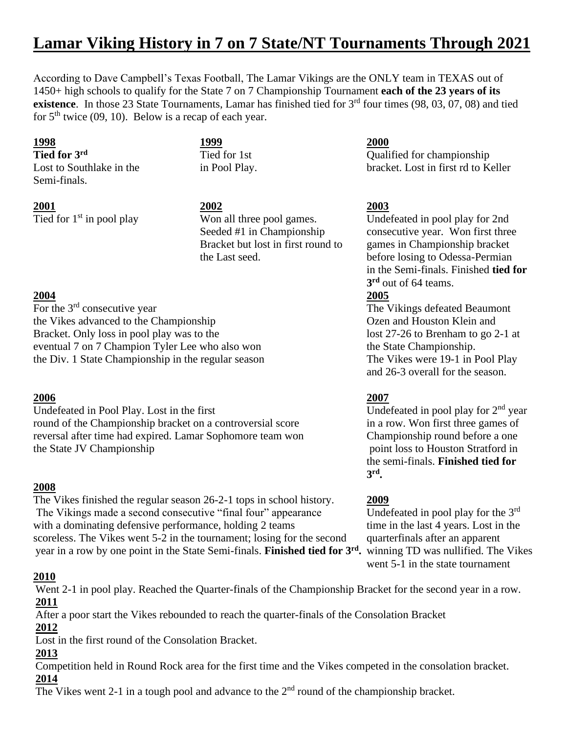# **Lamar Viking History in 7 on 7 State/NT Tournaments Through 2021**

According to Dave Campbell's Texas Football, The Lamar Vikings are the ONLY team in TEXAS out of 1450+ high schools to qualify for the State 7 on 7 Championship Tournament **each of the 23 years of its existence**. In those 23 State Tournaments, Lamar has finished tied for 3<sup>rd</sup> four times (98, 03, 07, 08) and tied for  $5<sup>th</sup>$  twice (09, 10). Below is a recap of each year.

Semi-finals.

**1998 1999 2000**

**2001 2002 2003** Tied for  $1<sup>st</sup>$  in pool play Won all three pool games. Undefeated in pool play for 2nd

For the  $3<sup>rd</sup>$  consecutive year the Vikes advanced to the Championship Ozen and Houston Klein and Bracket. Only loss in pool play was to the lost 27-26 to Brenham to go 2-1 at eventual 7 on 7 Champion Tyler Lee who also won the State Championship. the Div. 1 State Championship in the regular season The Vikes were 19-1 in Pool Play

# **2006 2007**

Undefeated in Pool Play. Lost in the first Undefeated in pool play for  $2<sup>nd</sup>$  year round of the Championship bracket on a controversial score in a row. Won first three games of reversal after time had expired. Lamar Sophomore team won Championship round before a one the State JV Championship point loss to Houston Stratford in

# **2008**

The Vikes finished the regular season 26-2-1 tops in school history. **2009** The Vikings made a second consecutive "final four" appearance with a dominating defensive performance, holding  $2$  teams time in the last  $4$  years. Lost in the scoreless. The Vikes went 5-2 in the tournament; losing for the second quarterfinals after an apparent year in a row by one point in the State Semi-finals. **Finished tied for 3rd .** winning TD was nullified. The Vikes

# **2010**

Went 2-1 in pool play. Reached the Quarter-finals of the Championship Bracket for the second year in a row. **2011**

After a poor start the Vikes rebounded to reach the quarter-finals of the Consolation Bracket **2012**

Lost in the first round of the Consolation Bracket.

# **2013**

Competition held in Round Rock area for the first time and the Vikes competed in the consolation bracket. **2014**

The Vikes went 2-1 in a tough pool and advance to the  $2<sup>nd</sup>$  round of the championship bracket.

**Tied for 3<sup>rd</sup>** Tied for 1st Qualified for championship Lost to Southlake in the in Pool Play. bracket. Lost in first rd to Keller

Seeded #1 in Championship consecutive year. Won first three Bracket but lost in first round to games in Championship bracket the Last seed. before losing to Odessa-Permian in the Semi-finals. Finished **tied for 3 rd** out of 64 teams.

# **2004 2005**

The Vikings defeated Beaumont and 26-3 overall for the season.

the semi-finals. **Finished tied for 3 rd .**

Undefeated in pool play for the  $3<sup>rd</sup>$ went 5-1 in the state tournament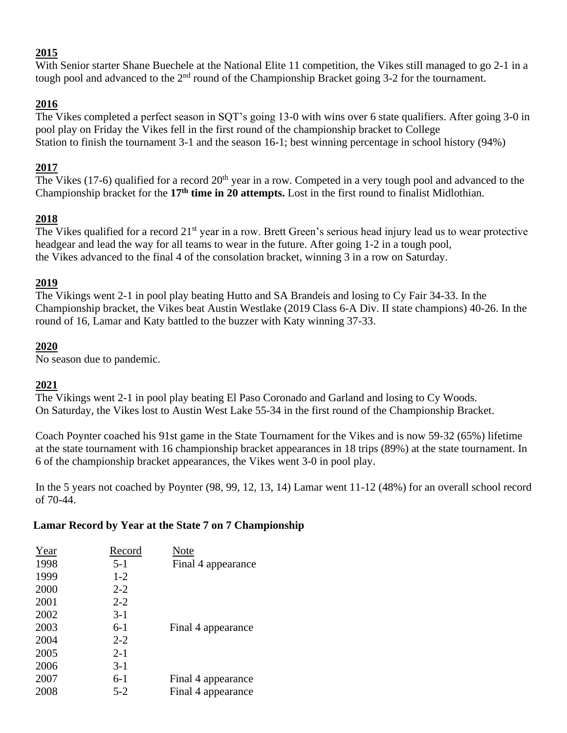# **2015**

With Senior starter Shane Buechele at the National Elite 11 competition, the Vikes still managed to go 2-1 in a tough pool and advanced to the  $2<sup>nd</sup>$  round of the Championship Bracket going 3-2 for the tournament.

# **2016**

The Vikes completed a perfect season in SQT's going 13-0 with wins over 6 state qualifiers. After going 3-0 in pool play on Friday the Vikes fell in the first round of the championship bracket to College Station to finish the tournament 3-1 and the season 16-1; best winning percentage in school history (94%)

# **2017**

The Vikes (17-6) qualified for a record  $20<sup>th</sup>$  year in a row. Competed in a very tough pool and advanced to the Championship bracket for the **17th time in 20 attempts.** Lost in the first round to finalist Midlothian.

# **2018**

The Vikes qualified for a record 21<sup>st</sup> year in a row. Brett Green's serious head injury lead us to wear protective headgear and lead the way for all teams to wear in the future. After going 1-2 in a tough pool, the Vikes advanced to the final 4 of the consolation bracket, winning 3 in a row on Saturday.

# **2019**

The Vikings went 2-1 in pool play beating Hutto and SA Brandeis and losing to Cy Fair 34-33. In the Championship bracket, the Vikes beat Austin Westlake (2019 Class 6-A Div. II state champions) 40-26. In the round of 16, Lamar and Katy battled to the buzzer with Katy winning 37-33.

# **2020**

No season due to pandemic.

# **2021**

The Vikings went 2-1 in pool play beating El Paso Coronado and Garland and losing to Cy Woods. On Saturday, the Vikes lost to Austin West Lake 55-34 in the first round of the Championship Bracket.

Coach Poynter coached his 91st game in the State Tournament for the Vikes and is now 59-32 (65%) lifetime at the state tournament with 16 championship bracket appearances in 18 trips (89%) at the state tournament. In 6 of the championship bracket appearances, the Vikes went 3-0 in pool play.

In the 5 years not coached by Poynter (98, 99, 12, 13, 14) Lamar went 11-12 (48%) for an overall school record of 70-44.

# **Lamar Record by Year at the State 7 on 7 Championship**

| Record  | Note               |
|---------|--------------------|
| $5 - 1$ | Final 4 appearance |
| $1 - 2$ |                    |
| $2 - 2$ |                    |
| $2 - 2$ |                    |
| $3-1$   |                    |
| $6-1$   | Final 4 appearance |
| $2 - 2$ |                    |
| $2 - 1$ |                    |
| $3-1$   |                    |
| $6-1$   | Final 4 appearance |
| $5 - 2$ | Final 4 appearance |
|         |                    |